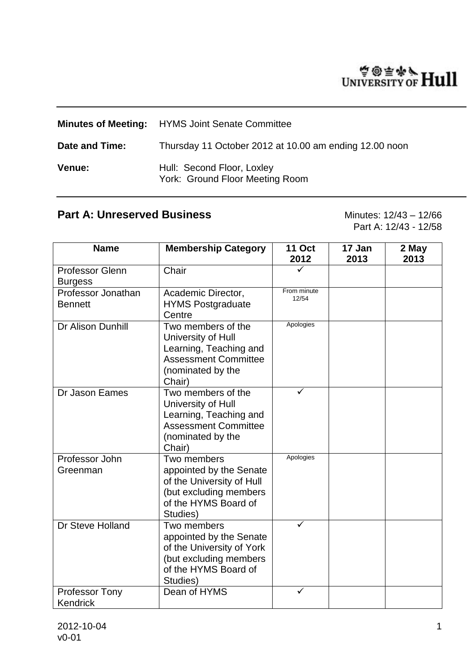# WINTERSITY OF Hull

|                | <b>Minutes of Meeting:</b> HYMS Joint Senate Committee        |
|----------------|---------------------------------------------------------------|
| Date and Time: | Thursday 11 October 2012 at 10.00 am ending 12.00 noon        |
| Venue:         | Hull: Second Floor, Loxley<br>York: Ground Floor Meeting Room |

# **Part A: Unreserved Business** Minutes: 12/43 – 12/66

Part A: 12/43 - 12/58

| <b>Name</b>                          | <b>Membership Category</b>                                                                                                         | <b>11 Oct</b><br>2012 | 17 Jan<br>2013 | 2 May<br>2013 |
|--------------------------------------|------------------------------------------------------------------------------------------------------------------------------------|-----------------------|----------------|---------------|
| Professor Glenn<br><b>Burgess</b>    | Chair                                                                                                                              |                       |                |               |
| Professor Jonathan<br><b>Bennett</b> | Academic Director,<br><b>HYMS Postgraduate</b><br>Centre                                                                           | From minute<br>12/54  |                |               |
| Dr Alison Dunhill                    | Two members of the<br>University of Hull<br>Learning, Teaching and<br><b>Assessment Committee</b><br>(nominated by the<br>Chair)   | Apologies             |                |               |
| Dr Jason Eames                       | Two members of the<br>University of Hull<br>Learning, Teaching and<br><b>Assessment Committee</b><br>(nominated by the<br>Chair)   | ✓                     |                |               |
| Professor John<br>Greenman           | Two members<br>appointed by the Senate<br>of the University of Hull<br>(but excluding members<br>of the HYMS Board of<br>Studies)  | Apologies             |                |               |
| Dr Steve Holland                     | Two members<br>appointed by the Senate<br>of the University of York<br>(but excluding members)<br>of the HYMS Board of<br>Studies) | ✓                     |                |               |
| <b>Professor Tony</b><br>Kendrick    | Dean of HYMS                                                                                                                       | ✓                     |                |               |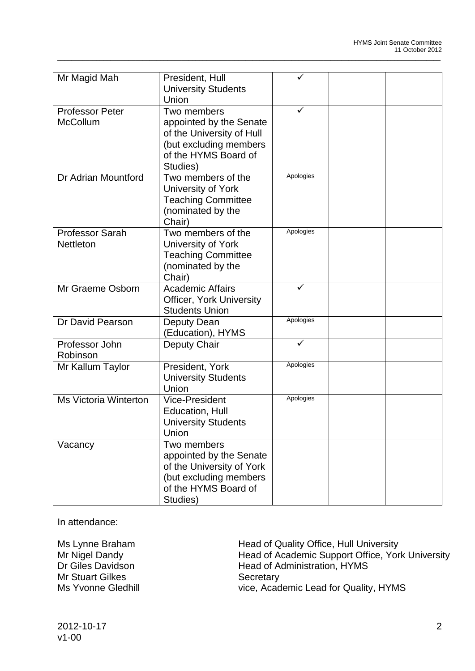| Mr Magid Mah                              | President, Hull<br><b>University Students</b><br>Union                                                                            |           |  |
|-------------------------------------------|-----------------------------------------------------------------------------------------------------------------------------------|-----------|--|
| <b>Professor Peter</b><br><b>McCollum</b> | Two members<br>appointed by the Senate<br>of the University of Hull<br>(but excluding members<br>of the HYMS Board of<br>Studies) | ✓         |  |
| Dr Adrian Mountford                       | Two members of the<br>University of York<br><b>Teaching Committee</b><br>(nominated by the<br>Chair)                              | Apologies |  |
| <b>Professor Sarah</b><br>Nettleton       | Two members of the<br>University of York<br><b>Teaching Committee</b><br>(nominated by the<br>Chair)                              | Apologies |  |
| Mr Graeme Osborn                          | <b>Academic Affairs</b><br><b>Officer, York University</b><br><b>Students Union</b>                                               | ✓         |  |
| Dr David Pearson                          | Deputy Dean<br>(Education), HYMS                                                                                                  | Apologies |  |
| Professor John<br>Robinson                | Deputy Chair                                                                                                                      |           |  |
| Mr Kallum Taylor                          | President, York<br><b>University Students</b><br>Union                                                                            | Apologies |  |
| <b>Ms Victoria Winterton</b>              | <b>Vice-President</b><br>Education, Hull<br><b>University Students</b><br>Union                                                   | Apologies |  |
| Vacancy                                   | Two members<br>appointed by the Senate<br>of the University of York<br>(but excluding members<br>of the HYMS Board of<br>Studies) |           |  |

\_\_\_\_\_\_\_\_\_\_\_\_\_\_\_\_\_\_\_\_\_\_\_\_\_\_\_\_\_\_\_\_\_\_\_\_\_\_\_\_\_\_\_\_\_\_\_\_\_\_\_\_\_\_\_\_\_\_\_\_\_\_\_\_\_\_\_\_\_\_\_\_\_\_\_\_\_\_\_\_\_\_\_\_\_\_\_\_\_\_\_\_\_\_\_\_\_\_\_\_\_\_\_\_\_\_\_\_

In attendance:

**Mr Stuart Gilkes** 

Ms Lynne Braham Head of Quality Office, Hull University<br>Mr Nigel Dandy Head of Academic Support Office, Yor Mr Nigel Dandy<br>
Dr Giles Davidson<br>
Head of Administration. HYMS<br>
Head of Administration. HYMS Head of Administration, HYMS<br>Secretary Ms Yvonne Gledhill vice, Academic Lead for Quality, HYMS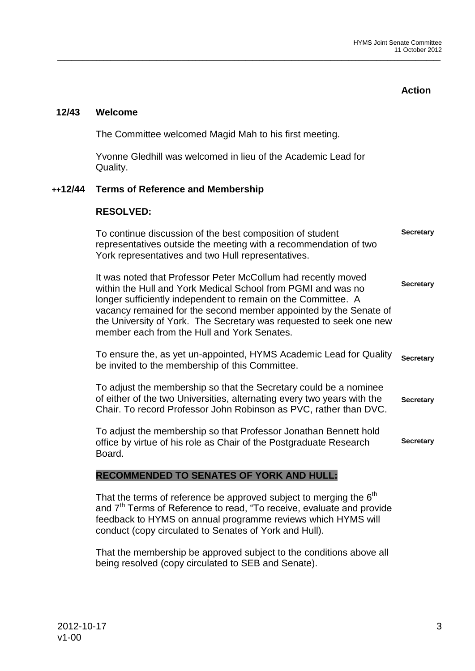**Action**

# **12/43 Welcome**

The Committee welcomed Magid Mah to his first meeting.

Yvonne Gledhill was welcomed in lieu of the Academic Lead for Quality.

\_\_\_\_\_\_\_\_\_\_\_\_\_\_\_\_\_\_\_\_\_\_\_\_\_\_\_\_\_\_\_\_\_\_\_\_\_\_\_\_\_\_\_\_\_\_\_\_\_\_\_\_\_\_\_\_\_\_\_\_\_\_\_\_\_\_\_\_\_\_\_\_\_\_\_\_\_\_\_\_\_\_\_\_\_\_\_\_\_\_\_\_\_\_\_\_\_\_\_\_\_\_\_\_\_\_\_\_

# **++12/44 Terms of Reference and Membership**

## **RESOLVED:**

To continue discussion of the best composition of student representatives outside the meeting with a recommendation of two York representatives and two Hull representatives. **Secretary**

It was noted that Professor Peter McCollum had recently moved within the Hull and York Medical School from PGMI and was no longer sufficiently independent to remain on the Committee. A vacancy remained for the second member appointed by the Senate of the University of York. The Secretary was requested to seek one new member each from the Hull and York Senates. **Secretary**

To ensure the, as yet un-appointed, HYMS Academic Lead for Quality be invited to the membership of this Committee. **Secretary**

To adjust the membership so that the Secretary could be a nominee of either of the two Universities, alternating every two years with the Chair. To record Professor John Robinson as PVC, rather than DVC. **Secretary**

To adjust the membership so that Professor Jonathan Bennett hold office by virtue of his role as Chair of the Postgraduate Research Board. **Secretary**

## **RECOMMENDED TO SENATES OF YORK AND HULL:**

That the terms of reference be approved subject to merging the  $6<sup>th</sup>$ and 7<sup>th</sup> Terms of Reference to read, "To receive, evaluate and provide feedback to HYMS on annual programme reviews which HYMS will conduct (copy circulated to Senates of York and Hull).

That the membership be approved subject to the conditions above all being resolved (copy circulated to SEB and Senate).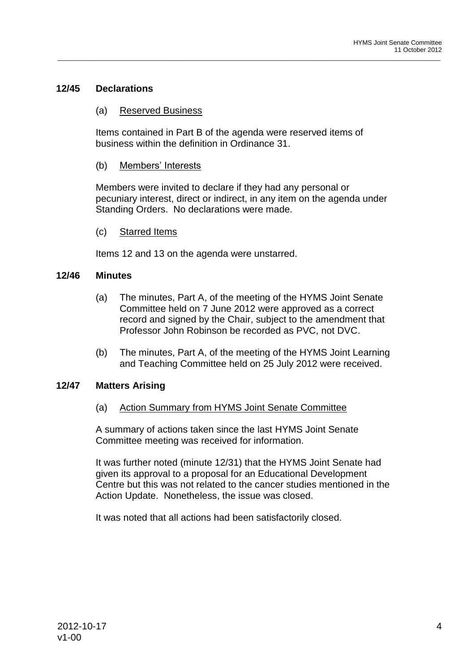# **12/45 Declarations**

#### (a) Reserved Business

Items contained in Part B of the agenda were reserved items of business within the definition in Ordinance 31.

\_\_\_\_\_\_\_\_\_\_\_\_\_\_\_\_\_\_\_\_\_\_\_\_\_\_\_\_\_\_\_\_\_\_\_\_\_\_\_\_\_\_\_\_\_\_\_\_\_\_\_\_\_\_\_\_\_\_\_\_\_\_\_\_\_\_\_\_\_\_\_\_\_\_\_\_\_\_\_\_\_\_\_\_\_\_\_\_\_\_\_\_\_\_\_\_\_\_\_\_\_\_\_\_\_\_\_\_

#### (b) Members' Interests

Members were invited to declare if they had any personal or pecuniary interest, direct or indirect, in any item on the agenda under Standing Orders. No declarations were made.

#### (c) Starred Items

Items 12 and 13 on the agenda were unstarred.

#### **12/46 Minutes**

- (a) The minutes, Part A, of the meeting of the HYMS Joint Senate Committee held on 7 June 2012 were approved as a correct record and signed by the Chair, subject to the amendment that Professor John Robinson be recorded as PVC, not DVC.
- (b) The minutes, Part A, of the meeting of the HYMS Joint Learning and Teaching Committee held on 25 July 2012 were received.

## **12/47 Matters Arising**

(a) Action Summary from HYMS Joint Senate Committee

A summary of actions taken since the last HYMS Joint Senate Committee meeting was received for information.

It was further noted (minute 12/31) that the HYMS Joint Senate had given its approval to a proposal for an Educational Development Centre but this was not related to the cancer studies mentioned in the Action Update. Nonetheless, the issue was closed.

It was noted that all actions had been satisfactorily closed.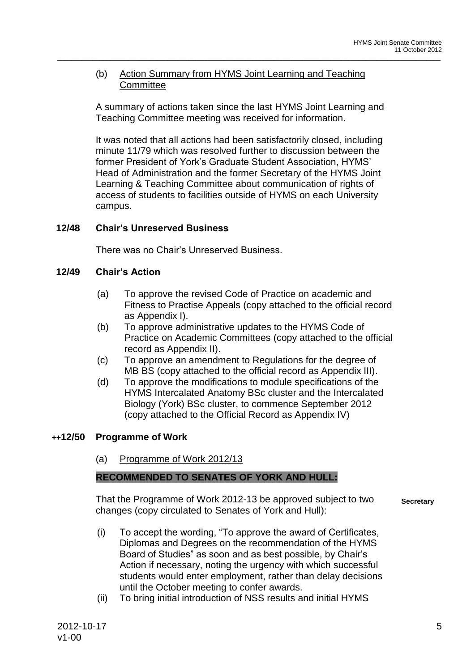# (b) Action Summary from HYMS Joint Learning and Teaching **Committee**

A summary of actions taken since the last HYMS Joint Learning and Teaching Committee meeting was received for information.

\_\_\_\_\_\_\_\_\_\_\_\_\_\_\_\_\_\_\_\_\_\_\_\_\_\_\_\_\_\_\_\_\_\_\_\_\_\_\_\_\_\_\_\_\_\_\_\_\_\_\_\_\_\_\_\_\_\_\_\_\_\_\_\_\_\_\_\_\_\_\_\_\_\_\_\_\_\_\_\_\_\_\_\_\_\_\_\_\_\_\_\_\_\_\_\_\_\_\_\_\_\_\_\_\_\_\_\_

It was noted that all actions had been satisfactorily closed, including minute 11/79 which was resolved further to discussion between the former President of York's Graduate Student Association, HYMS' Head of Administration and the former Secretary of the HYMS Joint Learning & Teaching Committee about communication of rights of access of students to facilities outside of HYMS on each University campus.

## **12/48 Chair's Unreserved Business**

There was no Chair's Unreserved Business.

## **12/49 Chair's Action**

- (a) To approve the revised Code of Practice on academic and Fitness to Practise Appeals (copy attached to the official record as Appendix I).
- (b) To approve administrative updates to the HYMS Code of Practice on Academic Committees (copy attached to the official record as Appendix II).
- (c) To approve an amendment to Regulations for the degree of MB BS (copy attached to the official record as Appendix III).
- (d) To approve the modifications to module specifications of the HYMS Intercalated Anatomy BSc cluster and the Intercalated Biology (York) BSc cluster, to commence September 2012 (copy attached to the Official Record as Appendix IV)

## **++12/50 Programme of Work**

(a) Programme of Work 2012/13

## **RECOMMENDED TO SENATES OF YORK AND HULL:**

That the Programme of Work 2012-13 be approved subject to two changes (copy circulated to Senates of York and Hull):

**Secretary**

- (i) To accept the wording, "To approve the award of Certificates, Diplomas and Degrees on the recommendation of the HYMS Board of Studies" as soon and as best possible, by Chair's Action if necessary, noting the urgency with which successful students would enter employment, rather than delay decisions until the October meeting to confer awards.
- (ii) To bring initial introduction of NSS results and initial HYMS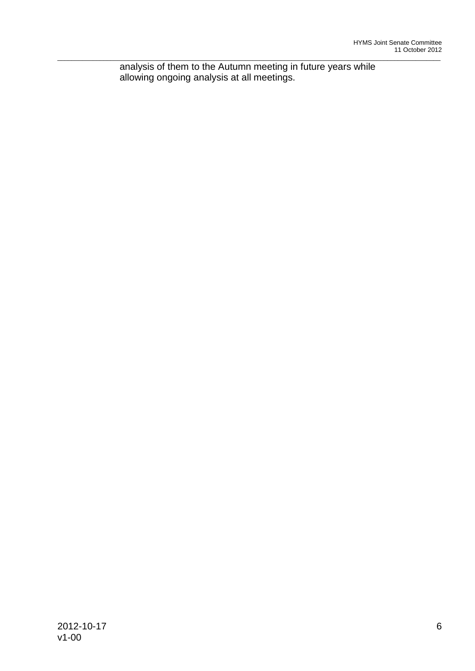\_\_\_\_\_\_\_\_\_\_\_\_\_\_\_\_\_\_\_\_\_\_\_\_\_\_\_\_\_\_\_\_\_\_\_\_\_\_\_\_\_\_\_\_\_\_\_\_\_\_\_\_\_\_\_\_\_\_\_\_\_\_\_\_\_\_\_\_\_\_\_\_\_\_\_\_\_\_\_\_\_\_\_\_\_\_\_\_\_\_\_\_\_\_\_\_\_\_\_\_\_\_\_\_\_\_\_\_ analysis of them to the Autumn meeting in future years while allowing ongoing analysis at all meetings.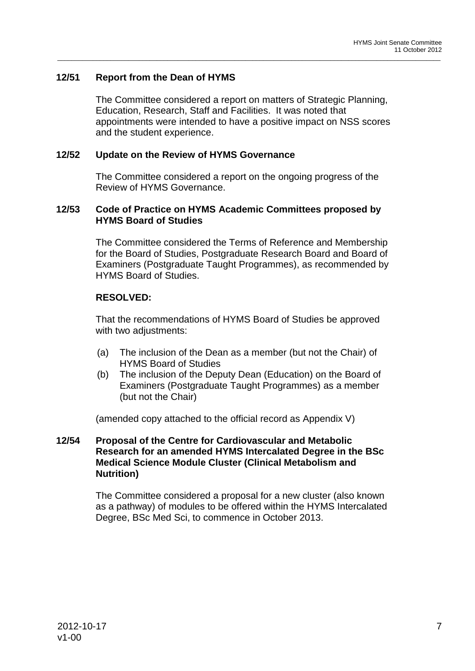# **12/51 Report from the Dean of HYMS**

The Committee considered a report on matters of Strategic Planning, Education, Research, Staff and Facilities. It was noted that appointments were intended to have a positive impact on NSS scores and the student experience.

\_\_\_\_\_\_\_\_\_\_\_\_\_\_\_\_\_\_\_\_\_\_\_\_\_\_\_\_\_\_\_\_\_\_\_\_\_\_\_\_\_\_\_\_\_\_\_\_\_\_\_\_\_\_\_\_\_\_\_\_\_\_\_\_\_\_\_\_\_\_\_\_\_\_\_\_\_\_\_\_\_\_\_\_\_\_\_\_\_\_\_\_\_\_\_\_\_\_\_\_\_\_\_\_\_\_\_\_

#### **12/52 Update on the Review of HYMS Governance**

The Committee considered a report on the ongoing progress of the Review of HYMS Governance.

#### **12/53 Code of Practice on HYMS Academic Committees proposed by HYMS Board of Studies**

The Committee considered the Terms of Reference and Membership for the Board of Studies, Postgraduate Research Board and Board of Examiners (Postgraduate Taught Programmes), as recommended by HYMS Board of Studies.

# **RESOLVED:**

That the recommendations of HYMS Board of Studies be approved with two adjustments:

- (a) The inclusion of the Dean as a member (but not the Chair) of HYMS Board of Studies
- (b) The inclusion of the Deputy Dean (Education) on the Board of Examiners (Postgraduate Taught Programmes) as a member (but not the Chair)

(amended copy attached to the official record as Appendix V)

## **12/54 Proposal of the Centre for Cardiovascular and Metabolic Research for an amended HYMS Intercalated Degree in the BSc Medical Science Module Cluster (Clinical Metabolism and Nutrition)**

The Committee considered a proposal for a new cluster (also known as a pathway) of modules to be offered within the HYMS Intercalated Degree, BSc Med Sci, to commence in October 2013.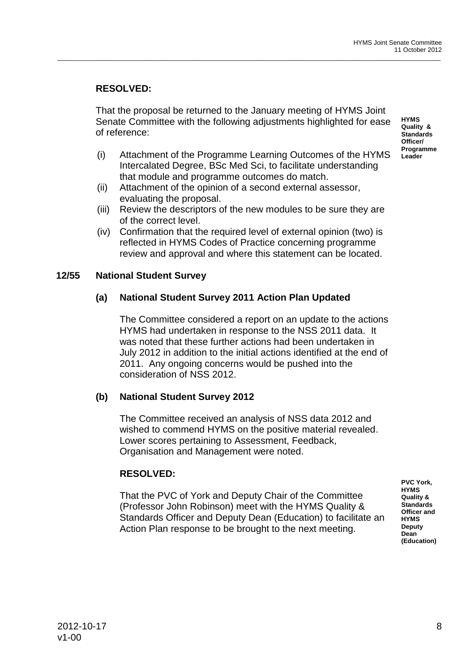# **RESOLVED:**

That the proposal be returned to the January meeting of HYMS Joint Senate Committee with the following adjustments highlighted for ease of reference:

\_\_\_\_\_\_\_\_\_\_\_\_\_\_\_\_\_\_\_\_\_\_\_\_\_\_\_\_\_\_\_\_\_\_\_\_\_\_\_\_\_\_\_\_\_\_\_\_\_\_\_\_\_\_\_\_\_\_\_\_\_\_\_\_\_\_\_\_\_\_\_\_\_\_\_\_\_\_\_\_\_\_\_\_\_\_\_\_\_\_\_\_\_\_\_\_\_\_\_\_\_\_\_\_\_\_\_\_

**HYMS Quality & Standards Officer/ Programme Leader**

- (i) Attachment of the Programme Learning Outcomes of the HYMS Intercalated Degree, BSc Med Sci, to facilitate understanding that module and programme outcomes do match.
- (ii) Attachment of the opinion of a second external assessor, evaluating the proposal.
- (iii) Review the descriptors of the new modules to be sure they are of the correct level.
- (iv) Confirmation that the required level of external opinion (two) is reflected in HYMS Codes of Practice concerning programme review and approval and where this statement can be located.

#### **12/55 National Student Survey**

## **(a) National Student Survey 2011 Action Plan Updated**

The Committee considered a report on an update to the actions HYMS had undertaken in response to the NSS 2011 data. It was noted that these further actions had been undertaken in July 2012 in addition to the initial actions identified at the end of 2011. Any ongoing concerns would be pushed into the consideration of NSS 2012.

## **(b) National Student Survey 2012**

The Committee received an analysis of NSS data 2012 and wished to commend HYMS on the positive material revealed. Lower scores pertaining to Assessment, Feedback, Organisation and Management were noted.

## **RESOLVED:**

That the PVC of York and Deputy Chair of the Committee (Professor John Robinson) meet with the HYMS Quality & Standards Officer and Deputy Dean (Education) to facilitate an Action Plan response to be brought to the next meeting.

**PVC York, HYMS Quality & Standards Officer and HYMS Deputy Dean (Education)**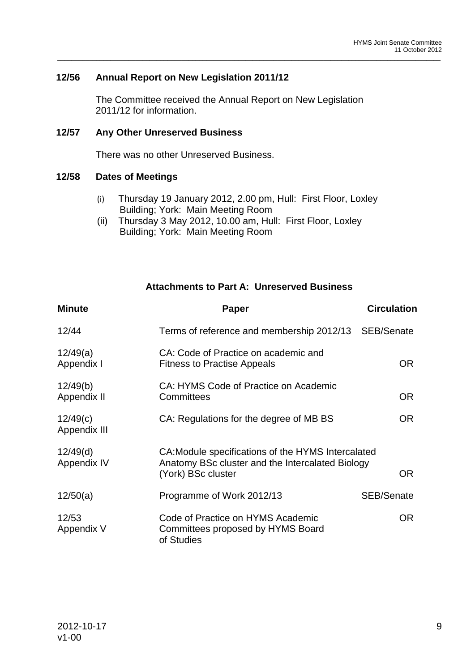# **12/56 Annual Report on New Legislation 2011/12**

The Committee received the Annual Report on New Legislation 2011/12 for information.

\_\_\_\_\_\_\_\_\_\_\_\_\_\_\_\_\_\_\_\_\_\_\_\_\_\_\_\_\_\_\_\_\_\_\_\_\_\_\_\_\_\_\_\_\_\_\_\_\_\_\_\_\_\_\_\_\_\_\_\_\_\_\_\_\_\_\_\_\_\_\_\_\_\_\_\_\_\_\_\_\_\_\_\_\_\_\_\_\_\_\_\_\_\_\_\_\_\_\_\_\_\_\_\_\_\_\_\_

#### **12/57 Any Other Unreserved Business**

There was no other Unreserved Business.

#### **12/58 Dates of Meetings**

- (i) Thursday 19 January 2012, 2.00 pm, Hull: First Floor, Loxley Building; York: Main Meeting Room
- (ii) Thursday 3 May 2012, 10.00 am, Hull: First Floor, Loxley Building; York: Main Meeting Room

## **Attachments to Part A: Unreserved Business**

| <b>Minute</b>            | <b>Paper</b>                                                                                                                 | <b>Circulation</b> |
|--------------------------|------------------------------------------------------------------------------------------------------------------------------|--------------------|
| 12/44                    | Terms of reference and membership 2012/13                                                                                    | SEB/Senate         |
| 12/49(a)<br>Appendix I   | CA: Code of Practice on academic and<br><b>Fitness to Practise Appeals</b>                                                   | OR.                |
| 12/49(b)<br>Appendix II  | CA: HYMS Code of Practice on Academic<br>Committees                                                                          | <b>OR</b>          |
| 12/49(c)<br>Appendix III | CA: Regulations for the degree of MB BS                                                                                      | OR.                |
| 12/49(d)<br>Appendix IV  | CA: Module specifications of the HYMS Intercalated<br>Anatomy BSc cluster and the Intercalated Biology<br>(York) BSc cluster | OR.                |
| 12/50(a)                 | Programme of Work 2012/13                                                                                                    | <b>SEB/Senate</b>  |
| 12/53<br>Appendix V      | Code of Practice on HYMS Academic<br>Committees proposed by HYMS Board<br>of Studies                                         | OR.                |